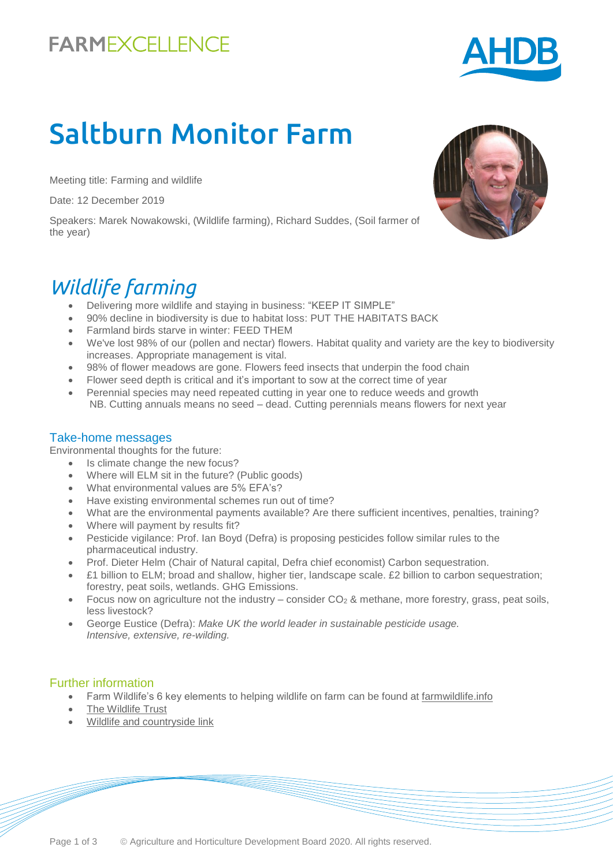# **FARMEXCELLENCE**

# Saltburn Monitor Farm

Meeting title: Farming and wildlife

Date: 12 December 2019

Speakers: Marek Nowakowski, (Wildlife farming), Richard Suddes, (Soil farmer of the year)

### *Wildlife farming*

- Delivering more wildlife and staying in business: "KEEP IT SIMPLE"
- 90% decline in biodiversity is due to habitat loss: PUT THE HABITATS BACK
- Farmland birds starve in winter: FEED THEM
- We've lost 98% of our (pollen and nectar) flowers. Habitat quality and variety are the key to biodiversity increases. Appropriate management is vital.
- 98% of flower meadows are gone. Flowers feed insects that underpin the food chain
- Flower seed depth is critical and it's important to sow at the correct time of year
- Perennial species may need repeated cutting in year one to reduce weeds and growth NB. Cutting annuals means no seed – dead. Cutting perennials means flowers for next year

#### Take-home messages

Environmental thoughts for the future:

- Is climate change the new focus?
- Where will ELM sit in the future? (Public goods)
- What environmental values are 5% EFA's?
- Have existing environmental schemes run out of time?
- What are the environmental payments available? Are there sufficient incentives, penalties, training?
- Where will payment by results fit?
- Pesticide vigilance: Prof. Ian Boyd (Defra) is proposing pesticides follow similar rules to the pharmaceutical industry.
- Prof. Dieter Helm (Chair of Natural capital, Defra chief economist) Carbon sequestration.
- £1 billion to ELM; broad and shallow, higher tier, landscape scale. £2 billion to carbon sequestration; forestry, peat soils, wetlands. GHG Emissions.
- Focus now on agriculture not the industry consider  $CO<sub>2</sub>$  & methane, more forestry, grass, peat soils, less livestock?
- George Eustice (Defra): *Make UK the world leader in sustainable pesticide usage. Intensive, extensive, re-wilding.*

#### Further information

- Farm Wildlife's 6 key elements to helping wildlife on farm can be found at [farmwildlife.info](https://farmwildlife.info/)
- [The Wildlife Trust](https://www.wildlifetrusts.org/farming)
- [Wildlife and countryside link](https://www.wcl.org.uk/)



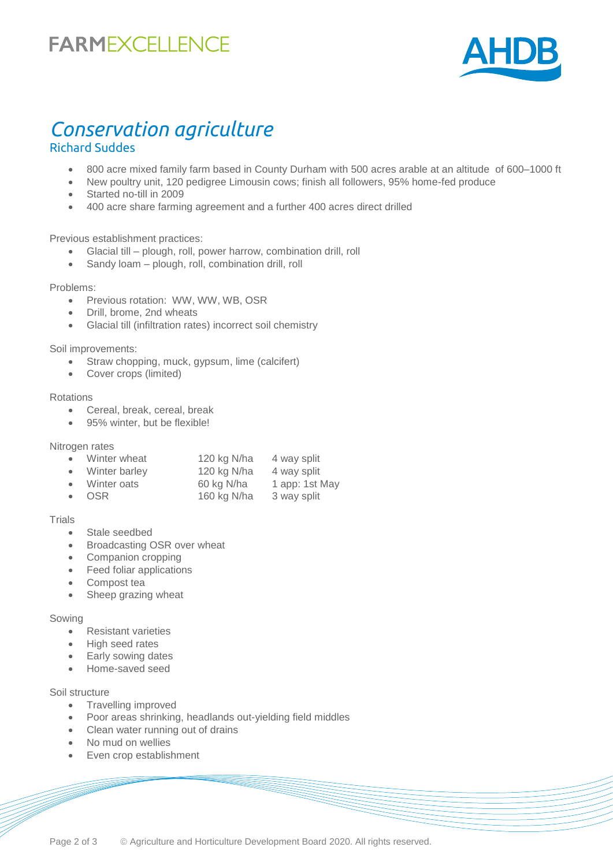# **FARMEXCELLENCE**



### *Conservation agriculture*  Richard Suddes

- 800 acre mixed family farm based in County Durham with 500 acres arable at an altitude of 600–1000 ft
- New poultry unit, 120 pedigree Limousin cows; finish all followers, 95% home-fed produce
- Started no-till in 2009
- 400 acre share farming agreement and a further 400 acres direct drilled

#### Previous establishment practices:

- Glacial till plough, roll, power harrow, combination drill, roll
- Sandy loam plough, roll, combination drill, roll

#### Problems:

- Previous rotation: WW, WW, WB, OSR
- Drill, brome, 2nd wheats
- Glacial till (infiltration rates) incorrect soil chemistry

Soil improvements:

- Straw chopping, muck, gypsum, lime (calcifert)
- Cover crops (limited)

#### Rotations

- Cereal, break, cereal, break
- 95% winter, but be flexible!

Nitrogen rates

| $\bullet$ | Winter wheat    | 120 kg N/ha | 4 way split    |
|-----------|-----------------|-------------|----------------|
|           | • Winter barley | 120 kg N/ha | 4 way split    |
|           | • Winter oats   | 60 kg N/ha  | 1 app: 1st May |
|           | $\bullet$ OSR   | 160 kg N/ha | 3 way split    |

#### **Trials**

- Stale seedbed
- Broadcasting OSR over wheat
- Companion cropping
- Feed foliar applications
- Compost tea
- Sheep grazing wheat

#### Sowing

- Resistant varieties
- High seed rates
- Early sowing dates
- Home-saved seed

#### Soil structure

- Travelling improved
- Poor areas shrinking, headlands out-yielding field middles
- Clean water running out of drains
- No mud on wellies
- Even crop establishment